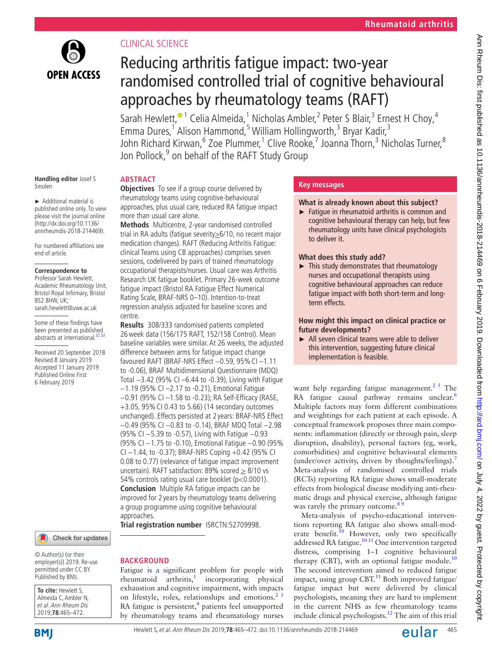

# Clinical science

# Reducing arthritis fatigue impact: two-year randomised controlled trial of cognitive behavioural approaches by rheumatology teams (RAFT)

Sarah Hewlett, $^{\circ}$ <sup>1</sup> Celia Almeida,<sup>1</sup> Nicholas Ambler,<sup>2</sup> Peter S Blair,<sup>3</sup> Ernest H Choy,<sup>4</sup> Emma Dures,<sup>1</sup> Alison Hammond,<sup>5</sup> William Hollingworth,<sup>3</sup> Bryar Kadir,<sup>3</sup> John Richard Kirwan,<sup>6</sup> Zoe Plummer,<sup>1</sup> Clive Rooke,<sup>7</sup> Joanna Thorn,<sup>3</sup> Nicholas Turner,<sup>8</sup> Jon Pollock,<sup>9</sup> on behalf of the RAFT Study Group

#### **Handling editor** Josef S Smolen

► Additional material is published online only. To view please visit the journal online [\(http://dx.doi.org/10.1136/](http://dx.doi.org/10.1136/annrheumdis-2018-214469) [annrheumdis-2018-214469\)](http://dx.doi.org/10.1136/annrheumdis-2018-214469).

For numbered affiliations see end of article.

#### **Correspondence to**

Professor Sarah Hewlett, Academic Rheumatology Unit, Bristol Royal Infirmary, Bristol  $BS2$  8HW UK; sarah.hewlett@uwe.ac.uk

Some of these findings have been presented as published abstracts at international.<sup>32</sup>

Received 20 September 2018 Revised 8 January 2019 Accepted 11 January 2019 Published Online First 6 February 2019

#### Check for updates

© Author(s) (or their employer(s)) 2019. Re-use permitted under CC BY. Published by BMJ.

**To cite:** Hewlett S, Almeida C, Ambler N, et al. Ann Rheum Dis 2019;**78**:465–472.



## **Abstract**

**Objectives** To see if a group course delivered by rheumatology teams using cognitive-behavioural approaches, plus usual care, reduced RA fatigue impact more than usual care alone.

**Methods** Multicentre, 2-year randomised controlled trial in RA adults (fatique severity > 6/10, no recent major medication changes). RAFT (Reducing Arthritis Fatigue: clinical Teams using CB approaches) comprises seven sessions, codelivered by pairs of trained rheumatology occupational therapists/nurses. Usual care was Arthritis Research UK fatigue booklet. Primary 26-week outcome fatigue impact (Bristol RA Fatigue Effect Numerical Rating Scale, BRAF-NRS 0–10). Intention-to-treat regression analysis adjusted for baseline scores and centre.

**Results** 308/333 randomised patients completed 26week data (156/175 RAFT, 152/158 Control). Mean baseline variables were similar. At 26 weeks, the adjusted difference between arms for fatigue impact change favoured RAFT (BRAF-NRS Effect −0.59, 95%CI –1.11 to -0.06), BRAF Multidimensional Questionnaire (MDQ) Total −3.42 (95% CI –6.44 to -0.39), Living with Fatigue −1.19 (95% CI –2.17 to -0.21), Emotional Fatigue −0.91 (95% CI –1.58 to -0.23); RA Self-Efficacy (RASE, +3.05, 95%CI 0.43 to 5.66) (14 secondary outcomes unchanged). Effects persisted at 2 years: BRAF-NRS Effect −0.49 (95% CI −0.83 to -0.14), BRAF MDQ Total −2.98 (95% CI −5.39 to -0.57), Living with Fatigue −0.93 (95% CI −1.75 to -0.10), Emotional Fatigue −0.90 (95% CI −1.44, to -0.37); BRAF-NRS Coping +0.42 (95% CI 0.08 to 0.77) (relevance of fatigue impact improvement uncertain). RAFT satisfaction: 89% scored  $\geq 8/10$  vs 54% controls rating usual care booklet (p<0.0001). **Conclusion** Multiple RA fatigue impacts can be improved for 2 years by rheumatology teams delivering a group programme using cognitive behavioural approaches.

**Trial registration number** IS[RCTN:52709998.](ISRCTN:%2052709998)

## **BACKGROUND**

Fatigue is a significant problem for people with  $r$ heumatoid arthritis, $\frac{1}{r}$  incorporating physical exhaustion and cognitive impairment, with impacts on lifestyle, roles, relationships and emotions. $2^3$ RA fatigue is persistent,<sup>[4](#page-6-3)</sup> patients feel unsupported by rheumatology teams and rheumatology nurses

## **Key messages**

## **What is already known about this subject?**

► Fatigue in rheumatoid arthritis is common and cognitive behavioural therapy can help, but few rheumatology units have clinical psychologists to deliver it.

## **What does this study add?**

► This study demonstrates that rheumatology nurses and occupational therapists using cognitive behavioural approaches can reduce fatigue impact with both short-term and longterm effects.

**How might this impact on clinical practice or future developments?**

► All seven clinical teams were able to deliver this intervention, suggesting future clinical implementation is feasible.

want help regarding fatigue management.<sup>25</sup> The RA fatigue causal pathway remains unclear.<sup>[6](#page-6-4)</sup> Multiple factors may form different combinations and weightings for each patient at each episode. A conceptual framework proposes three main components: inflammation (directly or through pain, sleep disruption, disability), personal factors (eg, work, comorbidities) and cognitive behavioural elements (under/over activity, driven by thoughts/feelings).<sup>[7](#page-6-5)</sup> Meta-analysis of randomised controlled trials (RCTs) reporting RA fatigue shows small-moderate effects from biological disease modifying anti-rheumatic drugs and physical exercise, although fatigue was rarely the primary outcome.<sup>8</sup>

Meta-analysis of psycho-educational interventions reporting RA fatigue also shows small-moderate benefit.<sup>10</sup> However, only two specifically addressed RA fatigue.<sup>[10 11](#page-6-7)</sup> One intervention targeted distress, comprising 1–1 cognitive behavioural therapy (CBT), with an optional fatigue module.<sup>[10](#page-6-7)</sup> The second intervention aimed to reduced fatigue impact, using group  $CBT<sup>11</sup>$  $CBT<sup>11</sup>$  $CBT<sup>11</sup>$  Both improved fatigue/ fatigue impact but were delivered by clinical psychologists, meaning they are hard to implement in the current NHS as few rheumatology teams include clinical psychologists.<sup>[12](#page-6-9)</sup> The aim of this trial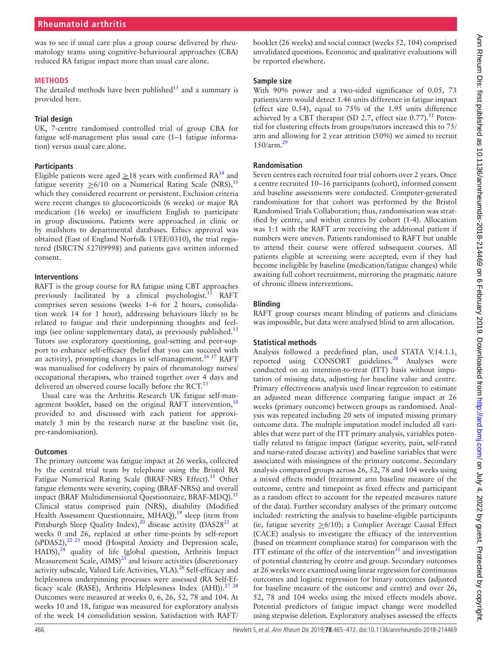## **Rheumatoid arthritis**

was to see if usual care plus a group course delivered by rheumatology teams using cognitive-behavioural approaches (CBA) reduced RA fatigue impact more than usual care alone.

#### **Methods**

The detailed methods have been published $13$  and a summary is provided here.

#### **Trial design**

UK, 7-centre randomised controlled trial of group CBA for fatigue self-management plus usual care (1–1 fatigue information) versus usual care alone.

#### **Participants**

Eligible patients were aged  $\geq$  18 years with confirmed RA<sup>14</sup> and fatigue severity  $\geq 6/10$  on a Numerical Rating Scale (NRS),<sup>[15](#page-6-12)</sup> which they considered recurrent or persistent. Exclusion criteria were recent changes to glucocorticoids (6 weeks) or major RA medication (16 weeks) or insufficient English to participate in group discussions. Patients were approached in clinic or by mailshots to departmental databases. Ethics approval was obtained (East of England Norfolk 13/EE/0310), the trial registered (ISRCTN 52709998) and patients gave written informed consent.

#### **Interventions**

RAFT is the group course for RA fatigue using CBT approaches previously facilitated by a clinical psychologist.<sup>[11](#page-6-8)</sup> RAFT comprises seven sessions (weeks 1–6 for 2 hours, consolidation week 14 for 1 hour), addressing behaviours likely to be related to fatigue and their underpinning thoughts and feelings (see [online supplementary data\)](https://dx.doi.org/10.1136/annrheumdis-2018-214469), as previously published.<sup>[13](#page-6-10)</sup> Tutors use exploratory questioning, goal-setting and peer-support to enhance self-efficacy (belief that you can succeed with an activity), prompting changes in self-management.<sup>[16 17](#page-6-13)</sup> RAFT was manualised for codelivery by pairs of rheumatology nurses/ occupational therapists, who trained together over 4 days and delivered an observed course locally before the RCT.<sup>[13](#page-6-10)</sup>

Usual care was the Arthritis Research UK fatigue self-management booklet, based on the original RAFT intervention,  $18$ provided to and discussed with each patient for approximately 5 min by the research nurse at the baseline visit (ie, pre-randomisation).

#### **Outcomes**

The primary outcome was fatigue impact at 26 weeks, collected by the central trial team by telephone using the Bristol RA Fatigue Numerical Rating Scale (BRAF-NRS Effect).<sup>15</sup> Other fatigue elements were severity, coping (BRAF-NRSs) and overall impact (BRAF Multidimensional Questionnaire, BRAF-MDQ).<sup>[15](#page-6-12)</sup> Clinical status comprised pain (NRS), disability (Modified Health Assessment Questionnaire, MHAQ),<sup>19</sup> sleep (item from Pittsburgh Sleep Quality Index),<sup>20</sup> disease activity (DAS28<sup>21</sup> at weeks 0 and 26, replaced at other time-points by self-report  $(sPDAS2),<sup>22</sup>$  23 mood (Hospital Anxiety and Depression scale, HADS),<sup>[24](#page-6-19)</sup> quality of life (global question, Arthritis Impact Measurement Scale,  $\text{AIMS}$ )<sup>[25](#page-6-20)</sup> and leisure activities (discretionary activity subscale, Valued Life Activities, VLA). $^{26}$  Self-efficacy and helplessness underpinning processes were assessed (RA Self-Efficacy scale (RASE), Arthritis Helplessness Index (AHI)).<sup>27</sup> <sup>28</sup> Outcomes were measured at weeks 0, 6, 26, 52, 78 and 104. At weeks 10 and 18, fatigue was measured for exploratory analysis of the week 14 consolidation session. Satisfaction with RAFT/

booklet (26 weeks) and social contact (weeks 52, 104) comprised unvalidated questions. Economic and qualitative evaluations will be reported elsewhere.

#### **Sample size**

With 90% power and a two-sided significance of 0.05, 73 patients/arm would detect 1.46 units difference in fatigue impact (effect size 0.54), equal to 75% of the 1.95 units difference achieved by a CBT therapist (SD 2.7, effect size  $0.77$ ).<sup>11</sup> Potential for clustering effects from groups/tutors increased this to 75/ arm and allowing for 2 year attrition (50%) we aimed to recruit  $150/arm.<sup>2</sup>$ 

#### **Randomisation**

Seven centres each recruited four trial cohorts over 2 years. Once a centre recruited 10–16 participants (cohort), informed consent and baseline assessments were conducted. Computer-generated randomisation for that cohort was performed by the Bristol Randomised Trials Collaboration; thus, randomisation was stratified by centre, and within centres by cohort (1-4). Allocation was 1:1 with the RAFT arm receiving the additional patient if numbers were uneven. Patients randomised to RAFT but unable to attend their course were offered subsequent courses. All patients eligible at screening were accepted, even if they had become ineligible by baseline (medication/fatigue changes) while awaiting full cohort recruitment, mirroring the pragmatic nature of chronic illness interventions.

#### **Blinding**

RAFT group courses meant blinding of patients and clinicians was impossible, but data were analysed blind to arm allocation.

#### **Statistical methods**

Analysis followed a predefined plan, used STATA V.14.1.1, reported using CONSORT guidelines.<sup>[30](#page-6-24)</sup> Analyses were conducted on an intention-to-treat (ITT) basis without imputation of missing data, adjusting for baseline value and centre. Primary effectiveness analysis used linear regression to estimate an adjusted mean difference comparing fatigue impact at 26 weeks (primary outcome) between groups as randomised. Analysis was repeated including 20 sets of imputed missing primary outcome data. The multiple imputation model included all variables that were part of the ITT primary analysis, variables potentially related to fatigue impact (fatigue severity, pain, self-rated and nurse-rated disease activity) and baseline variables that were associated with missingness of the primary outcome. Secondary analysis compared groups across 26, 52, 78 and 104 weeks using a mixed effects model (treatment arm baseline measure of the outcome, centre and timepoint as fixed effects and participant as a random effect to account for the repeated measures nature of the data). Further secondary analyses of the primary outcome included: restricting the analysis to baseline-eligible participants (ie, fatigue severity >6/10); a Complier Average Causal Effect (CACE) analysis to investigate the efficacy of the intervention (based on treatment compliance status) for comparison with the ITT estimate of the offer of the intervention $31$  and investigation of potential clustering by centre and group. Secondary outcomes at 26 weeks were examined using linear regression for continuous outcomes and logistic regression for binary outcomes (adjusted for baseline measure of the outcome and centre) and over 26, 52, 78 and 104 weeks using the mixed effects models above. Potential predictors of fatigue impact change were modelled using stepwise deletion. Exploratory analyses assessed the effects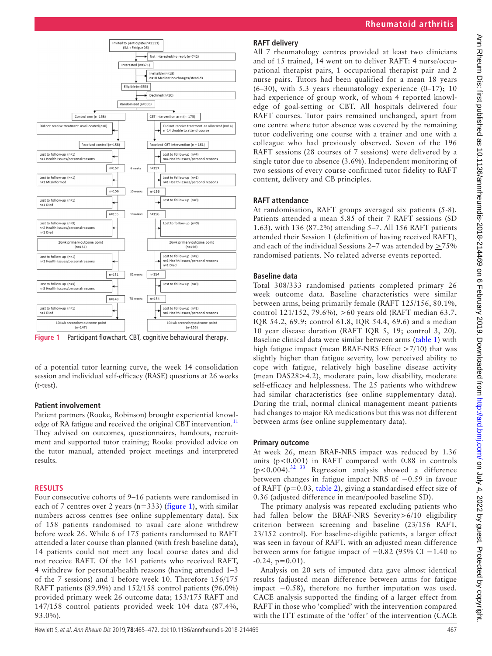

<span id="page-2-0"></span>**Figure 1** Participant flowchart. CBT, cognitive behavioural therapy.

of a potential tutor learning curve, the week 14 consolidation session and individual self-efficacy (RASE) questions at 26 weeks (t-test).

#### **Patient involvement**

Patient partners (Rooke, Robinson) brought experiential knowl-edge of RA fatigue and received the original CBT intervention.<sup>[11](#page-6-8)</sup> They advised on outcomes, questionnaires, handouts, recruitment and supported tutor training; Rooke provided advice on the tutor manual, attended project meetings and interpreted results.

#### **Results**

Four consecutive cohorts of 9–16 patients were randomised in each of 7 centres over 2 years ( $n=333$ ) [\(figure](#page-2-0) 1), with similar numbers across centres (see [online supplementary data\)](https://dx.doi.org/10.1136/annrheumdis-2018-214469). Six of 158 patients randomised to usual care alone withdrew before week 26. While 6 of 175 patients randomised to RAFT attended a later course than planned (with fresh baseline data), 14 patients could not meet any local course dates and did not receive RAFT. Of the 161 patients who received RAFT, 4 withdrew for personal/health reasons (having attended 1–3 of the 7 sessions) and 1 before week 10. Therefore 156/175 RAFT patients (89.9%) and 152/158 control patients (96.0%) provided primary week 26 outcome data; 153/175 RAFT and 147/158 control patients provided week 104 data (87.4%, 93.0%).

## **RAFT delivery**

All 7 rheumatology centres provided at least two clinicians and of 15 trained, 14 went on to deliver RAFT: 4 nurse/occupational therapist pairs, 1 occupational therapist pair and 2 nurse pairs. Tutors had been qualified for a mean 18 years  $(6-30)$ , with 5.3 years rheumatology experience  $(0-17)$ ; 10 had experience of group work, of whom 4 reported knowledge of goal-setting or CBT. All hospitals delivered four RAFT courses. Tutor pairs remained unchanged, apart from one centre where tutor absence was covered by the remaining tutor codelivering one course with a trainer and one with a colleague who had previously observed. Seven of the 196 RAFT sessions (28 courses of 7 sessions) were delivered by a single tutor due to absence (3.6%). Independent monitoring of two sessions of every course confirmed tutor fidelity to RAFT content, delivery and CB principles.

## **RAFT attendance**

At randomisation, RAFT groups averaged six patients (5-8). Patients attended a mean 5.85 of their 7 RAFT sessions (SD 1.63), with 136 (87.2%) attending 5–7. All 156 RAFT patients attended their Session 1 (definition of having received RAFT), and each of the individual Sessions 2–7 was attended by  $\geq$ 75% randomised patients. No related adverse events reported.

## **Baseline data**

Total 308/333 randomised patients completed primary 26 week outcome data. Baseline characteristics were similar between arms, being primarily female (RAFT 125/156, 80.1%, control 121/152, 79.6%), >60 years old (RAFT median 63.7, IQR 54.2, 69.9; control 61.8, IQR 54.4, 69.6) and a median 10 year disease duration (RAFT IQR 5, 19; control 3, 20). Baseline clinical data were similar between arms ([table](#page-3-0) 1) with high fatigue impact (mean BRAF-NRS Effect >7/10) that was slightly higher than fatigue severity, low perceived ability to cope with fatigue, relatively high baseline disease activity (mean DAS28>4.2), moderate pain, low disability, moderate self-efficacy and helplessness. The 25 patients who withdrew had similar characteristics (see [online supplementary data\)](https://dx.doi.org/10.1136/annrheumdis-2018-214469). During the trial, normal clinical management meant patients had changes to major RA medications but this was not different between arms (see [online supplementary data](https://dx.doi.org/10.1136/annrheumdis-2018-214469)).

## **Primary outcome**

At week 26, mean BRAF-NRS impact was reduced by 1.36 units (p<0.001) in RAFT compared with 0.88 in controls  $(p<0.004)$ .<sup>32 33</sup> Regression analysis showed a difference between changes in fatigue impact NRS of −0.59 in favour of RAFT (p=0.03, [table](#page-3-1) 2), giving a standardised effect size of 0.36 (adjusted difference in mean/pooled baseline SD).

The primary analysis was repeated excluding patients who had fallen below the BRAF-NRS Severity>6/10 eligibility criterion between screening and baseline (23/156 RAFT, 23/152 control). For baseline-eligible patients, a larger effect was seen in favour of RAFT, with an adjusted mean difference between arms for fatigue impact of −0.82 (95% CI −1.40 to  $-0.24$ ,  $p=0.01$ ).

Analysis on 20 sets of imputed data gave almost identical results (adjusted mean difference between arms for fatigue impact −0.58), therefore no further imputation was used. CACE analysis supported the finding of a larger effect from RAFT in those who 'complied' with the intervention compared with the ITT estimate of the 'offer' of the intervention (CACE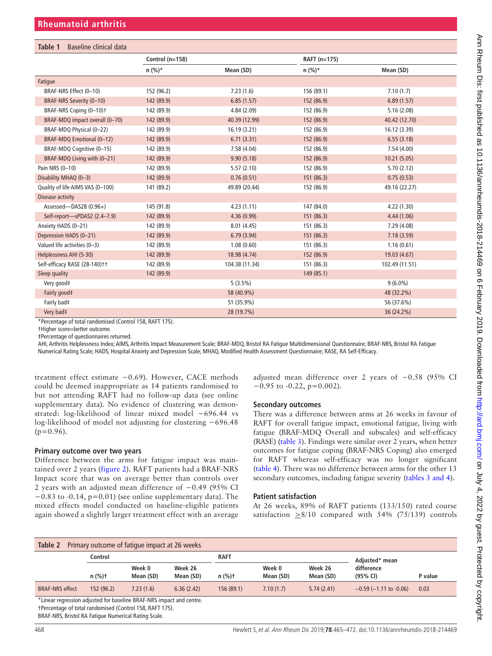<span id="page-3-0"></span>

| Table 1<br>Baseline clinical data   |                   |                |              |                |  |  |
|-------------------------------------|-------------------|----------------|--------------|----------------|--|--|
|                                     | Control $(n=158)$ |                | RAFT (n=175) |                |  |  |
|                                     | $n (%)*$          | Mean (SD)      | $n (%)*$     | Mean (SD)      |  |  |
| Fatigue                             |                   |                |              |                |  |  |
| BRAF-NRS Effect (0-10)              | 152 (96.2)        | 7.23(1.6)      | 156 (89.1)   | 7.10(1.7)      |  |  |
| BRAF-NRS Severity (0-10)            | 142 (89.9)        | 6.85(1.57)     | 152 (86.9)   | 6.89(1.57)     |  |  |
| BRAF-NRS Coping (0-10) <sup>+</sup> | 142 (89.9)        | 4.84(2.09)     | 152 (86.9)   | 5.16(2.08)     |  |  |
| BRAF-MDQ impact overall (0-70)      | 142 (89.9)        | 40.39 (12.99)  | 152 (86.9)   | 40.42 (12.70)  |  |  |
| BRAF-MDQ Physical (0-22)            | 142 (89.9)        | 16.19(3.21)    | 152 (86.9)   | 16.12 (3.39)   |  |  |
| BRAF-MDQ Emotional (0-12)           | 142 (89.9)        | 6.71(3.31)     | 152 (86.9)   | 6.55(3.18)     |  |  |
| BRAF-MDQ Cognitive (0-15)           | 142 (89.9)        | 7.58(4.04)     | 152 (86.9)   | 7.54(4.00)     |  |  |
| BRAF-MDQ Living with (0-21)         | 142 (89.9)        | 9.90(5.18)     | 152 (86.9)   | 10.21(5.05)    |  |  |
| Pain NRS (0-10)                     | 142 (89.9)        | 5.57(2.10)     | 152 (86.9)   | 5.70(2.12)     |  |  |
| Disability MHAQ (0-3)               | 142 (89.9)        | 0.76(0.51)     | 151 (86.3)   | 0.75(0.53)     |  |  |
| Quality of life AIMS VAS (0-100)    | 141 (89.2)        | 49.89 (20.44)  | 152 (86.9)   | 49.16 (22.27)  |  |  |
| Disease activity                    |                   |                |              |                |  |  |
| Assessed-DAS28 (0.96+)              | 145 (91.8)        | 4.23(1.11)     | 147 (84.0)   | 4.22(1.30)     |  |  |
| Self-report-SPDAS2 (2.4-7.9)        | 142 (89.9)        | 4.36(0.99)     | 151 (86.3)   | 4.44(1.06)     |  |  |
| Anxiety HADS (0-21)                 | 142 (89.9)        | 8.01(4.45)     | 151 (86.3)   | 7.29 (4.08)    |  |  |
| Depression HADS (0-21)              | 142 (89.9)        | 6.79(3.94)     | 151 (86.3)   | 7.18(3.59)     |  |  |
| Valued life activities (0-3)        | 142 (89.9)        | 1.08(0.60)     | 151 (86.3)   | 1.16(0.61)     |  |  |
| Helplessness AHI (5-30)             | 142 (89.9)        | 18.98 (4.74)   | 152 (86.9)   | 19.03 (4.67)   |  |  |
| Self-efficacy RASE (28-140)++       | 142 (89.9)        | 104.38 (11.34) | 151 (86.3)   | 102.49 (11.51) |  |  |
| Sleep quality                       | 142 (89.9)        |                | 149 (85.1)   |                |  |  |
| Very good‡                          |                   | $5(3.5\%)$     |              | $9(6.0\%)$     |  |  |
| Fairly good‡                        |                   | 58 (40.9%)     |              | 48 (32.2%)     |  |  |
| Fairly bad‡                         |                   | 51 (35.9%)     |              | 56 (37.6%)     |  |  |
| Very bad‡                           |                   | 28 (19.7%)     |              | 36 (24.2%)     |  |  |

\*Percentage of total randomised (Control 158, RAFT 175).

†Higher score=better outcome.

‡Percentage of questionnaires returned.

AHI, Arthritis Helplessness Index; AIMS, Arthritis Impact Measurement Scale; BRAF-MDQ, Bristol RA Fatigue Multidimensional Questionnaire; BRAF-NRS, Bristol RA Fatigue

Numerical Rating Scale; HADS, Hospital Anxiety and Depression Scale; MHAQ, Modified Health Assessment Questionnaire; RASE, RA Self-Efficacy.

treatment effect estimate −0.69). However, CACE methods could be deemed inappropriate as 14 patients randomised to but not attending RAFT had no follow-up data (see [online](https://dx.doi.org/10.1136/annrheumdis-2018-214469)  [supplementary data](https://dx.doi.org/10.1136/annrheumdis-2018-214469)). No evidence of clustering was demonstrated: log-likelihood of linear mixed model −696.44 vs log-likelihood of model not adjusting for clustering −696.48  $(p=0.96)$ .

## **Primary outcome over two years**

Difference between the arms for fatigue impact was maintained over 2 years [\(figure](#page-4-0) 2). RAFT patients had a BRAF-NRS Impact score that was on average better than controls over 2 years with an adjusted mean difference of −0.49 (95% CI −0.83 to -0.14, p=0.01) (see [online supplementary data](https://dx.doi.org/10.1136/annrheumdis-2018-214469)). The mixed effects model conducted on baseline-eligible patients again showed a slightly larger treatment effect with an average adjusted mean difference over 2 years of −0.58 (95% CI  $-0.95$  to  $-0.22$ , p=0.002).

## **Secondary outcomes**

There was a difference between arms at 26 weeks in favour of RAFT for overall fatigue impact, emotional fatigue, living with fatigue (BRAF-MDQ Overall and subscales) and self-efficacy (RASE) ([table](#page-4-1) 3). Findings were similar over 2 years, when better outcomes for fatigue coping (BRAF-NRS Coping) also emerged for RAFT whereas self-efficacy was no longer significant ([table](#page-5-0) 4). There was no difference between arms for the other 13 secondary outcomes, including fatigue severity (tables [3 and 4](#page-4-1)).

## **Patient satisfaction**

At 26 weeks, 89% of RAFT patients (133/150) rated course satisfaction  $\geq 8/10$  compared with 54% (75/139) controls

<span id="page-3-1"></span>

| Primary outcome of fatigue impact at 26 weeks<br>Table 2             |           |                     |                      |                   |                     |                      |                                |         |
|----------------------------------------------------------------------|-----------|---------------------|----------------------|-------------------|---------------------|----------------------|--------------------------------|---------|
|                                                                      | Control   |                     | RAFT                 |                   |                     | Adiusted* mean       |                                |         |
|                                                                      | $n$ (%)t  | Week 0<br>Mean (SD) | Week 26<br>Mean (SD) | $n$ (%) $\dagger$ | Week 0<br>Mean (SD) | Week 26<br>Mean (SD) | difference<br>(95% CI)         | P value |
| <b>BRAF-NRS</b> effect                                               | 152(96.2) | 7.23(1.6)           | 6.36(2.42)           | 156 (89.1)        | 7.10(1.7)           | 5.74(2.41)           | $-0.59$ ( $-1.11$ to $-0.06$ ) | 0.03    |
| *Linear regression adjusted for baseline BRAF-NRS impact and centre. |           |                     |                      |                   |                     |                      |                                |         |

†Percentage of total randomised (Control 158, RAFT 175).

BRAF-NRS, Bristol RA Fatigue Numerical Rating Scale.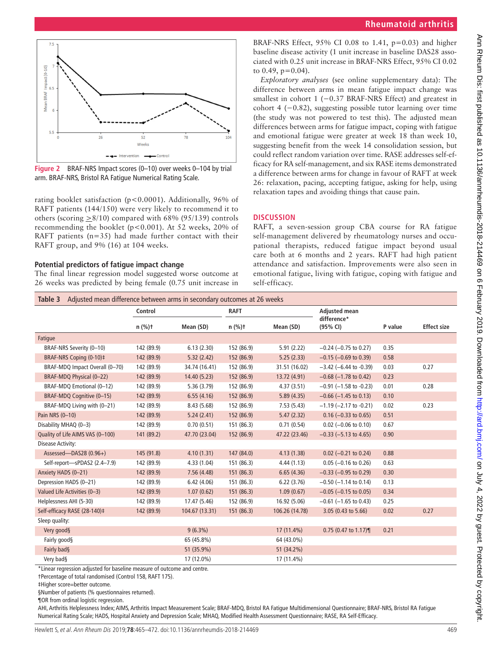



<span id="page-4-0"></span>**Figure 2** BRAF-NRS Impact scores (0–10) over weeks 0–104 by trial arm. BRAF-NRS, Bristol RA Fatigue Numerical Rating Scale.

rating booklet satisfaction (p<0.0001). Additionally, 96% of RAFT patients (144/150) were very likely to recommend it to others (scoring  $\geq 8/10$ ) compared with 68% (95/139) controls recommending the booklet ( $p < 0.001$ ). At 52 weeks, 20% of RAFT patients  $(n=35)$  had made further contact with their RAFT group, and 9% (16) at 104 weeks.

#### **Potential predictors of fatigue impact change**

The final linear regression model suggested worse outcome at 26 weeks was predicted by being female (0.75 unit increase in

BRAF-NRS Effect,  $95\%$  CI 0.08 to 1.41,  $p=0.03$ ) and higher baseline disease activity (1 unit increase in baseline DAS28 associated with 0.25 unit increase in BRAF-NRS Effect, 95% CI 0.02 to  $0.49$ ,  $p=0.04$ ).

*Exploratory analyses* (see [online supplementary data\)](https://dx.doi.org/10.1136/annrheumdis-2018-214469): The difference between arms in mean fatigue impact change was smallest in cohort 1 (−0.37 BRAF-NRS Effect) and greatest in cohort 4 (−0.82), suggesting possible tutor learning over time (the study was not powered to test this). The adjusted mean differences between arms for fatigue impact, coping with fatigue and emotional fatigue were greater at week 18 than week 10, suggesting benefit from the week 14 consolidation session, but could reflect random variation over time. RASE addresses self-efficacy for RA self-management, and six RASE items demonstrated a difference between arms for change in favour of RAFT at week 26: relaxation, pacing, accepting fatigue, asking for help, using relaxation tapes and avoiding things that cause pain.

#### **Discussion**

RAFT, a seven-session group CBA course for RA fatigue self-management delivered by rheumatology nurses and occupational therapists, reduced fatigue impact beyond usual care both at 6 months and 2 years. RAFT had high patient attendance and satisfaction. Improvements were also seen in emotional fatigue, living with fatigue, coping with fatigue and self-efficacy.

<span id="page-4-1"></span>

|                                  | Control    |                | <b>RAFT</b> |                | <b>Adjusted mean</b>           |         |                    |
|----------------------------------|------------|----------------|-------------|----------------|--------------------------------|---------|--------------------|
|                                  | $n$ (%)t   | Mean (SD)      | $n$ (%)t    | Mean (SD)      | difference*<br>(95% CI)        | P value | <b>Effect size</b> |
| Fatigue                          |            |                |             |                |                                |         |                    |
| BRAF-NRS Severity (0-10)         | 142 (89.9) | 6.13(2.30)     | 152 (86.9)  | 5.91(2.22)     | $-0.24$ ( $-0.75$ to 0.27)     | 0.35    |                    |
| BRAF-NRS Coping (0-10)‡          | 142 (89.9) | 5.32(2.42)     | 152 (86.9)  | 5.25(2.33)     | $-0.15$ ( $-0.69$ to 0.39)     | 0.58    |                    |
| BRAF-MDQ Impact Overall (0-70)   | 142 (89.9) | 34.74 (16.41)  | 152 (86.9)  | 31.51 (16.02)  | $-3.42$ (-6.44 to -0.39)       | 0.03    | 0.27               |
| BRAF-MDQ Physical (0-22)         | 142 (89.9) | 14.40 (5.23)   | 152 (86.9)  | 13.72 (4.91)   | $-0.68$ ( $-1.78$ to 0.42)     | 0.23    |                    |
| BRAF-MDQ Emotional (0-12)        | 142 (89.9) | 5.36(3.79)     | 152 (86.9)  | 4.37(3.51)     | $-0.91$ ( $-1.58$ to $-0.23$ ) | 0.01    | 0.28               |
| BRAF-MDQ Cognitive (0-15)        | 142 (89.9) | 6.55(4.16)     | 152 (86.9)  | 5.89(4.35)     | $-0.66$ ( $-1.45$ to 0.13)     | 0.10    |                    |
| BRAF-MDQ Living with (0-21)      | 142 (89.9) | 8.43(5.68)     | 152 (86.9)  | 7.53(5.43)     | $-1.19$ ( $-2.17$ to $-0.21$ ) | 0.02    | 0.23               |
| Pain NRS (0-10)                  | 142 (89.9) | 5.24(2.41)     | 152 (86.9)  | 5.47(2.32)     | $0.16 (-0.33)$ to $0.65$ )     | 0.51    |                    |
| Disability MHAQ (0-3)            | 142 (89.9) | 0.70(0.51)     | 151 (86.3)  | 0.71(0.54)     | $0.02$ (-0.06 to 0.10)         | 0.67    |                    |
| Quality of Life AIMS VAS (0-100) | 141 (89.2) | 47.70 (23.04)  | 152 (86.9)  | 47.22 (23.46)  | $-0.33$ ( $-5.13$ to 4.65)     | 0.90    |                    |
| Disease Activity:                |            |                |             |                |                                |         |                    |
| Assessed-DAS28 (0.96+)           | 145(91.8)  | 4.10(1.31)     | 147 (84.0)  | 4.13(1.38)     | $0.02$ (-0.21 to 0.24)         | 0.88    |                    |
| Self-report-SPDAS2 (2.4-7.9)     | 142 (89.9) | 4.33(1.04)     | 151 (86.3)  | 4.44(1.13)     | $0.05$ (-0.16 to 0.26)         | 0.63    |                    |
| Anxiety HADS (0-21)              | 142 (89.9) | 7.56(4.48)     | 151(86.3)   | 6.65(4.36)     | $-0.33$ ( $-0.95$ to 0.29)     | 0.30    |                    |
| Depression HADS (0-21)           | 142 (89.9) | 6.42(4.06)     | 151 (86.3)  | 6.22(3.76)     | $-0.50$ ( $-1.14$ to 0.14)     | 0.13    |                    |
| Valued Life Activities (0-3)     | 142 (89.9) | 1.07(0.62)     | 151 (86.3)  | 1.09(0.67)     | $-0.05$ ( $-0.15$ to 0.05)     | 0.34    |                    |
| Helplessness AHI (5-30)          | 142 (89.9) | 17.47 (5.46)   | 152 (86.9)  | 16.92 (5.06)   | $-0.61$ (-1.65 to 0.43)        | 0.25    |                    |
| Self-efficacy RASE (28-140)‡     | 142 (89.9) | 104.67 (13.31) | 151 (86.3)  | 106.26 (14.78) | 3.05 (0.43 to 5.66)            | 0.02    | 0.27               |
| Sleep quality:                   |            |                |             |                |                                |         |                    |
| Very good§                       |            | $9(6.3\%)$     |             | 17 (11.4%)     | $0.75$ (0.47 to 1.17)          | 0.21    |                    |
| Fairly good§                     |            | 65 (45.8%)     |             | 64 (43.0%)     |                                |         |                    |
| Fairly bad§                      |            | 51 (35.9%)     |             | 51 (34.2%)     |                                |         |                    |
| Very bad§                        |            | 17 (12.0%)     |             | 17 (11.4%)     |                                |         |                    |

\*Linear regression adjusted for baseline measure of outcome and centre.

†Percentage of total randomised (Control 158, RAFT 175).

‡Higher score=better outcome.

§Number of patients (% questionnaires returned).

¶OR from ordinal logistic regression.

AHI, Arthritis Helplessness Index; AIMS, Arthritis Impact Measurement Scale; BRAF-MDQ, Bristol RA Fatigue Multidimensional Questionnaire; BRAF-NRS, Bristol RA Fatigue Numerical Rating Scale; HADS, Hospital Anxiety and Depression Scale; MHAQ, Modified Health Assessment Questionnaire; RASE, RA Self-Efficacy.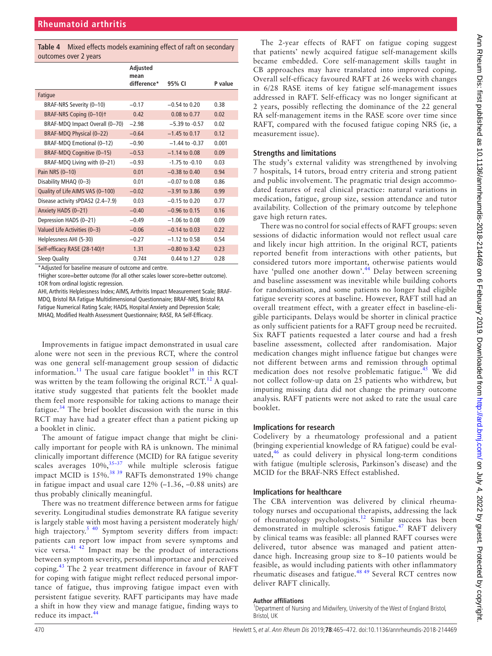<span id="page-5-0"></span>**Table 4** Mixed effects models examining effect of raft on secondary outcomes over 2 years

|                                     | Adjusted<br>mean<br>difference* | 95% CI             | P value |
|-------------------------------------|---------------------------------|--------------------|---------|
| Fatigue                             |                                 |                    |         |
| BRAF-NRS Severity (0-10)            | $-0.17$                         | $-0.54$ to 0.20    | 0.38    |
| BRAF-NRS Coping (0-10) <sup>+</sup> | 0.42                            | 0.08 to 0.77       | 0.02    |
| BRAF-MDQ Impact Overall (0-70)      | $-2.98$                         | $-5.39$ to $-0.57$ | 0.02    |
| BRAF-MDQ Physical (0-22)            | $-0.64$                         | $-1.45$ to 0.17    | 0.12    |
| BRAF-MDQ Emotional (0-12)           | $-0.90$                         | $-1.44$ to $-0.37$ | 0.001   |
| BRAF-MDQ Cognitive (0-15)           | $-0.53$                         | $-1.14$ to 0.08    | 0.09    |
| BRAF-MDQ Living with (0-21)         | $-0.93$                         | $-1.75$ to $-0.10$ | 0.03    |
| Pain NRS (0-10)                     | 0.01                            | $-0.38$ to $0.40$  | 0.94    |
| Disability MHAQ (0-3)               | 0.01                            | $-0.07$ to 0.08    | 0.86    |
| Quality of Life AIMS VAS (0-100)    | $-0.02$                         | $-3.91$ to 3.86    | 0.99    |
| Disease activity sPDAS2 (2.4-7.9)   | 0.03                            | $-0.15$ to 0.20    | 0.77    |
| Anxiety HADS (0-21)                 | $-0.40$                         | $-0.96$ to 0.15    | 0.16    |
| Depression HADS (0-21)              | $-0.49$                         | $-1.06$ to 0.08    | 0.09    |
| Valued Life Activities (0-3)        | $-0.06$                         | $-0.14$ to 0.03    | 0.22    |
| Helplessness AHI (5-30)             | $-0.27$                         | $-1.12$ to 0.58    | 0.54    |
| Self-efficacy RASE (28-140)t        | 1.31                            | $-0.80$ to 3.42    | 0.23    |
| Sleep Quality                       | $0.74$ ‡                        | 0.44 to 1.27       | 0.28    |

\*Adjusted for baseline measure of outcome and centre.

†Higher score=better outcome (for all other scales lower score=better outcome). ‡OR from ordinal logistic regression.

AHI, Arthritis Helplessness Index; AIMS, Arthritis Impact Measurement Scale; BRAF-MDQ, Bristol RA Fatigue Multidimensional Questionnaire; BRAF-NRS, Bristol RA Fatigue Numerical Rating Scale; HADS, Hospital Anxiety and Depression Scale; MHAQ, Modified Health Assessment Questionnaire; RASE, RA Self-Efficacy.

Improvements in fatigue impact demonstrated in usual care alone were not seen in the previous RCT, where the control was one general self-management group session of didactic information.<sup>[11](#page-6-8)</sup> The usual care fatigue booklet<sup>18</sup> in this RCT was written by the team following the original RCT.<sup>[12](#page-6-9)</sup> A qualitative study suggested that patients felt the booklet made them feel more responsible for taking actions to manage their fatigue.[34](#page-6-26) The brief booklet discussion with the nurse in this RCT may have had a greater effect than a patient picking up a booklet in clinic.

The amount of fatigue impact change that might be clinically important for people with RA is unknown. The minimal clinically important difference (MCID) for RA fatigue severity scales averages  $10\%, \frac{35-37}{9}$  while multiple sclerosis fatigue impact MCID is 15%.<sup>[38 39](#page-7-1)</sup> RAFTs demonstrated 19% change in fatigue impact and usual care 12% (–1.36, –0.88 units) are thus probably clinically meaningful.

There was no treatment difference between arms for fatigue severity. Longitudinal studies demonstrate RA fatigue severity is largely stable with most having a persistent moderately high/ high trajectory.<sup>5 40</sup> Symptom severity differs from impact: patients can report low impact from severe symptoms and vice versa. $41 \frac{42}{2}$  Impact may be the product of interactions between symptom severity, personal importance and perceived coping.[43](#page-7-3) The 2 year treatment difference in favour of RAFT for coping with fatigue might reflect reduced personal importance of fatigue, thus improving fatigue impact even with persistent fatigue severity. RAFT participants may have made a shift in how they view and manage fatigue, finding ways to reduce its impact.<sup>[44](#page-7-4)</sup>

The 2-year effects of RAFT on fatigue coping suggest that patients' newly acquired fatigue self-management skills became embedded. Core self-management skills taught in CB approaches may have translated into improved coping. Overall self-efficacy favoured RAFT at 26 weeks with changes in 6/28 RASE items of key fatigue self-management issues addressed in RAFT. Self-efficacy was no longer significant at 2 years, possibly reflecting the dominance of the 22 general RA self-management items in the RASE score over time since RAFT, compared with the focused fatigue coping NRS (ie, a measurement issue).

## **Strengths and limitations**

The study's external validity was strengthened by involving 7 hospitals, 14 tutors, broad entry criteria and strong patient and public involvement. The pragmatic trial design accommodated features of real clinical practice: natural variations in medication, fatigue, group size, session attendance and tutor availability. Collection of the primary outcome by telephone gave high return rates.

There was no control for social effects of RAFT groups: seven sessions of didactic information would not reflect usual care and likely incur high attrition. In the original RCT, patients reported benefit from interactions with other patients, but considered tutors more important, otherwise patients would have 'pulled one another down'.<sup>[44](#page-7-4)</sup> Delay between screening and baseline assessment was inevitable while building cohorts for randomisation, and some patients no longer had eligible fatigue severity scores at baseline. However, RAFT still had an overall treatment effect, with a greater effect in baseline-eligible participants. Delays would be shorter in clinical practice as only sufficient patients for a RAFT group need be recruited. Six RAFT patients requested a later course and had a fresh baseline assessment, collected after randomisation. Major medication changes might influence fatigue but changes were not different between arms and remission through optimal medication does not resolve problematic fatigue.<sup>[45](#page-7-5)</sup> We did not collect follow-up data on 25 patients who withdrew, but imputing missing data did not change the primary outcome analysis. RAFT patients were not asked to rate the usual care booklet.

#### **Implications for research**

Codelivery by a rheumatology professional and a patient (bringing experiential knowledge of RA fatigue) could be evaluated, $46$  as could delivery in physical long-term conditions with fatigue (multiple sclerosis, Parkinson's disease) and the MCID for the BRAF-NRS Effect established.

## **Implications for healthcare**

The CBA intervention was delivered by clinical rheumatology nurses and occupational therapists, addressing the lack of rheumatology psychologists.[12](#page-6-9) Similar success has been demonstrated in multiple sclerosis fatigue.<sup>[47](#page-7-7)</sup> RAFT delivery by clinical teams was feasible: all planned RAFT courses were delivered, tutor absence was managed and patient attendance high. Increasing group size to 8–10 patients would be feasible, as would including patients with other inflammatory rheumatic diseases and fatigue.[48 49](#page-7-8) Several RCT centres now deliver RAFT clinically.

#### **Author affiliations**

<sup>1</sup>Department of Nursing and Midwifery, University of the West of England Bristol, Bristol, UK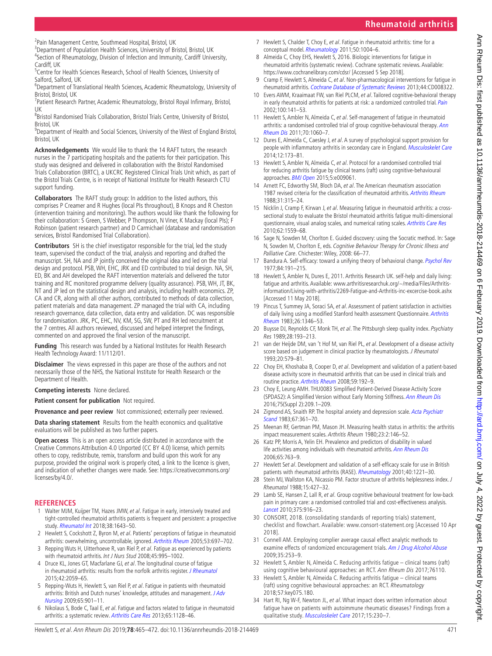<sup>2</sup> Pain Management Centre, Southmead Hospital, Bristol, UK<br><sup>3</sup> Department of Population Hoalth Sciences, University of Br <sup>3</sup>Department of Population Health Sciences, University of Bristol, Bristol, UK <sup>4</sup>Section of Rheumatology, Division of Infection and Immunity, Cardiff University, Cardiff, UK

<sup>5</sup> Centre for Health Sciences Research, School of Health Sciences, University of Salford, Salford, UK <sup>6</sup>

<sup>6</sup>Department of Translational Health Sciences, Academic Rheumatology, University of Bristol, Bristol, UK

<sup>7</sup>Patient Research Partner, Academic Rheumatology, Bristol Royal Infirmary, Bristol, UK

<sup>8</sup> Bristol Randomised Trials Collaboration, Bristol Trials Centre, University of Bristol, Bristol, UK

<sup>9</sup>Department of Health and Social Sciences, University of the West of England Bristol, Bristol, UK

**Acknowledgements** We would like to thank the 14 RAFT tutors, the research nurses in the 7 participating hospitals and the patients for their participation. This study was designed and delivered in collaboration with the Bristol Randomised Trials Collaboration (BRTC), a UKCRC Registered Clinical Trials Unit which, as part of the Bristol Trials Centre, is in receipt of National Institute for Health Research CTU support funding.

**Collaborators** The RAFT study group: In addition to the listed authors, this comprises P Creamer and R Hughes (local PIs throughout), B Knops and R Cheston (intervention training and monitoring). The authors would like thank the following for their collaboration: S Green, S Webber, P Thompson, N Viner, K Mackay (local PIs); F Robinson (patient research partner) and D Carmichael (database and randomisation services, Bristol Randomised Trial Collaboration).

**Contributors** SH is the chief investigator responsible for the trial, led the study team, supervised the conduct of the trial, analysis and reporting and drafted the manuscript. SH, NA and JP jointly conceived the original idea and led on the trial design and protocol. PSB, WH, EHC, JRK and ED contributed to trial design. NA, SH, ED, BK and AH developed the RAFT intervention materials and delivered the tutor training and RC monitored programme delivery (quality assurance). PSB, WH, JT, BK, NT and JP led on the statistical design and analysis, including health economics. ZP, CA and CR, along with all other authors, contributed to methods of data collection, patient materials and data management. ZP managed the trial with CA, including research governance, data collection, data entry and validation. DC was responsible for randomisation. JRK, PC, EHC, NV, KM, SG, SW, PT and RH led recruitment at the 7 centres. All authors reviewed, discussed and helped interpret the findings, commented on and approved the final version of the manuscript.

**Funding** This research was funded by a National Institutes for Health Research Health Technology Award: 11/112/01.

**Disclaimer** The views expressed in this paper are those of the authors and not necessarily those of the NHS, the National Institute for Health Research or the Department of Health.

**Competing interests** None declared.

**Patient consent for publication** Not required.

**Provenance and peer review** Not commissioned; externally peer reviewed.

**Data sharing statement** Results from the health economics and qualitative evaluations will be published as two further papers.

**Open access** This is an open access article distributed in accordance with the Creative Commons Attribution 4.0 Unported (CC BY 4.0) license, which permits others to copy, redistribute, remix, transform and build upon this work for any purpose, provided the original work is properly cited, a link to the licence is given, and indication of whether changes were made. See: [https://creativecommons.org/](https://creativecommons.org/licenses/by/4.0/) [licenses/by/4.0/.](https://creativecommons.org/licenses/by/4.0/)

#### **References**

- <span id="page-6-1"></span>1 Walter MJM, Kuijper TM, Hazes JMW, et al. Fatigue in early, intensively treated and tight-controlled rheumatoid arthritis patients is frequent and persistent: a prospective study. [Rheumatol Int](http://dx.doi.org/10.1007/s00296-018-4102-5) 2018;38:1643–50.
- <span id="page-6-2"></span>2 Hewlett S, Cockshott Z, Byron M, et al. Patients' perceptions of fatique in rheumatoid arthritis: overwhelming, uncontrollable, ignored. [Arthritis Rheum](http://dx.doi.org/10.1002/art.21450) 2005;53:697–702.
- 3 Repping Wuts H, Uitterhoeve R, van Riel P, et al. Fatigue as experienced by patients with rheumatoid arthritis. Int J Nurs Stud 2008;45:995–1002.
- <span id="page-6-3"></span>4 Druce KL, Jones GT, Macfarlane GJ, et al. The longitudinal course of fatigue in rheumatoid arthritis: results from the norfolk arthritis register. [J Rheumatol](http://dx.doi.org/10.3899/jrheum.141498) 2015;42:2059–65.
- <span id="page-6-27"></span>5 Repping-Wuts H, Hewlett S, van Riel P, et al. Fatigue in patients with rheumatoid arthritis: British and Dutch nurses' knowledge, attitudes and management. J Adv [Nursing](http://dx.doi.org/10.1111/j.1365-2648.2008.04904.x) 2009;65:901–11.
- <span id="page-6-4"></span>6 Nikolaus S, Bode C, Taal E, et al. Fatigue and factors related to fatigue in rheumatoid arthritis: a systematic review. [Arthritis Care Res](http://dx.doi.org/10.1002/acr.21949) 2013;65:1128–46.
- <span id="page-6-5"></span>7 Hewlett S, Chalder T, Choy E, et al. Fatigue in rheumatoid arthritis: time for a conceptual model. [Rheumatology](http://dx.doi.org/10.1093/rheumatology/keq282) 2011;50:1004–6.
- <span id="page-6-6"></span>8 Almeida C, Choy EHS, Hewlett S, 2016. Biologic interventions for fatigue in rheumatoid arthritis (systematic review). Cochrane systematic reviews. Available: <https://www.cochranelibrary.com/cdsr/> [Accessed 5 Sep 2018].
- 9 Cramp F, Hewlett S, Almeida C, et al. Non-pharmacological interventions for fatigue in rheumatoid arthritis. [Cochrane Database of Systematic Reviews](http://dx.doi.org/10.1002/14651858.CD008322.pub2) 2013;44:CD008322.

**Rheumatoid arthritis**

- <span id="page-6-7"></span>10 Evers AWM, Kraaimaat FW, van Riel PLCM, et al. Tailored cognitive-behavioral therapy in early rheumatoid arthritis for patients at risk: a randomized controlled trial. [Pain](http://dx.doi.org/10.1016/S0304-3959(02)00274-9) 2002;100:141–53.
- <span id="page-6-8"></span>11 Hewlett S, Ambler N, Almeida C, et al. Self-management of fatigue in rheumatoid arthritis: a randomised controlled trial of group cognitive-behavioural therapy. [Ann](http://dx.doi.org/10.1136/ard.2010.144691)  [Rheum Dis](http://dx.doi.org/10.1136/ard.2010.144691) 2011;70:1060–7.
- <span id="page-6-9"></span>12 Dures E, Almeida C, Caesley J, et al. A survey of psychological support provision for people with inflammatory arthritis in secondary care in England. [Musculoskelet Care](http://dx.doi.org/10.1002/msc.1071) 2014;12:173–81.
- <span id="page-6-10"></span>13 Hewlett S, Ambler N, Almeida C, et al. Protocol for a randomised controlled trial for reducing arthritis fatigue by clinical teams (raft) using cognitive-behavioural approaches. **[BMJ Open](http://dx.doi.org/10.1136/bmjopen-2015-009061) 2015**;5:e009061.
- <span id="page-6-11"></span>14 Arnett FC, Edworthy SM, Bloch DA, et al. The American rheumatism association 1987 revised criteria for the classification of rheumatoid arthritis. [Arthritis Rheum](http://dx.doi.org/10.1002/art.1780310302) 1988;31:315–24.
- <span id="page-6-12"></span>15 Nicklin J, Cramp F, Kirwan J, et al. Measuring fatigue in rheumatoid arthritis: a crosssectional study to evaluate the Bristol rheumatoid arthritis fatigue multi-dimensional questionnaire, visual analog scales, and numerical rating scales. [Arthritis Care Res](http://dx.doi.org/10.1002/acr.20282) 2010;62:1559–68.
- <span id="page-6-13"></span>16 Sage N, Sowden M, Chorlton E. Guided discovery: using the Socratic method. In: Sage N, Sowden M, Chorlton E, eds. Cognitive Behaviour Therapy for Chronic Illness and Palliative Care. Chichester: Wiley, 2008: 66–77.
- 17 Bandura A. Self-efficacy: toward a unifying theory of behavioral change. [Psychol Rev](http://dx.doi.org/10.1037/0033-295X.84.2.191) 1977;84:191–215.
- <span id="page-6-14"></span>18 Hewlett S, Ambler N, Dures E, 2011. Arthritis Research UK. self-help and daily living: fatigue and arthritis. Available: [www.arthritisresearchuk.org/~/media/Files/Arthritis](www.arthritisresearchuk.org/~/media/Files/Arthritis-information/Living-with-arthritis/2269-Fatigue-and-Arthritis-inc-excercise-book.ashx)[information/Living-with-arthritis/2269-Fatigue-and-Arthritis-inc-excercise-book.ashx](www.arthritisresearchuk.org/~/media/Files/Arthritis-information/Living-with-arthritis/2269-Fatigue-and-Arthritis-inc-excercise-book.ashx) [Accessed 11 May 2018].
- <span id="page-6-15"></span>19 Pincus T, Summey JA, Soraci SA, et al. Assessment of patient satisfaction in activities of daily living using a modified Stanford health assessment Questionnaire. [Arthritis](http://dx.doi.org/10.1002/art.1780261107)  [Rheum](http://dx.doi.org/10.1002/art.1780261107) 1983;26:1346–53.
- <span id="page-6-16"></span>20 Buysse DJ, Reynolds CF, Monk TH, et al. The Pittsburgh sleep quality index. Psychiatry Res 1989;28:193–213.
- <span id="page-6-17"></span>21 van der Heijde DM, van 't Hof M, van Riel PL, et al. Development of a disease activity score based on judgement in clinical practice by rheumatologists. J Rheumatol 1993;20:579–81.
- <span id="page-6-18"></span>22 Choy EH, Khoshaba B, Cooper D, et al. Development and validation of a patient-based disease activity score in rheumatoid arthritis that can be used in clinical trials and routine practice. [Arthritis Rheum](http://dx.doi.org/10.1002/art.23342) 2008;59:192–9.
- 23 Choy E, Leung AMH. THU0083 Simplified Patient-Derived Disease Activity Score (SPDAS2): A Simplified Version without Early Morning Stiffness. [Ann Rheum Dis](http://dx.doi.org/10.1136/annrheumdis-2016-eular.1443) 2016;75(Suppl 2):209.1–209.
- <span id="page-6-19"></span>24 Zigmond AS, Snaith RP. The hospital anxiety and depression scale. Acta Psychiatr [Scand](http://dx.doi.org/10.1111/j.1600-0447.1983.tb09716.x) 1983;67:361–70.
- <span id="page-6-20"></span>25 Meenan RF, Gertman PM, Mason JH. Measuring health status in arthritis: the arthritis impact measurement scales. Arthritis Rheum 1980;23:2:146–52.
- <span id="page-6-21"></span>26 Katz PP, Morris A, Yelin EH. Prevalence and predictors of disability in valued life activities among individuals with rheumatoid arthritis. [Ann Rheum Dis](http://dx.doi.org/10.1136/ard.2005.044677) 2006;65:763–9.
- <span id="page-6-22"></span>27 Hewlett Set al. Development and validation of a self-efficacy scale for use in British patients with rheumatoid arthritis (RASE). [Rheumatology](http://dx.doi.org/10.1093/rheumatology/40.11.1221) 2001;40:1221-30.
- 28 Stein MJ, Wallston KA, Nicassio PM. Factor structure of arthritis helplessness index. J Rheumatol 1988;15:427–32.
- <span id="page-6-23"></span>29 Lamb SE, Hansen Z, Lall R, et al. Group cognitive behavioural treatment for low-back pain in primary care: a randomised controlled trial and cost-effectiveness analysis. [Lancet](http://dx.doi.org/10.1016/S0140-6736(09)62164-4) 2010;375:916–23.
- <span id="page-6-24"></span>30 CONSORT, 2018. (consolidating standards of reporting trials) statement, checklist and flowchart. Available: <www.consort-statement.org> [Accessed 10 Apr 2018].
- <span id="page-6-25"></span>31 Connell AM. Employing complier average causal effect analytic methods to examine effects of randomized encouragement trials. [Am J Drug Alcohol Abuse](http://dx.doi.org/10.1080/00952990903005882) 2009;35:253–9.
- <span id="page-6-0"></span>32 Hewlett S, Ambler N, Almeida C. Reducing arthritis fatigue – clinical teams (raft) using cognitive behavioural approaches: an RCT. Ann Rheum Dis 2017;76110.
- 33 Hewlett S, Ambler N, Almeida C. Reducing arthritis fatigue clinical teams (raft) using cognitive behavioural approaches: an RCT. Rheumatology 2018;57:key075.180.
- <span id="page-6-26"></span>34 Hart RI, Ng W-F, Newton JL, et al. What impact does written information about fatigue have on patients with autoimmune rheumatic diseases? Findings from a qualitative study. [Musculoskelet Care](http://dx.doi.org/10.1002/msc.1164) 2017;15:230-7.